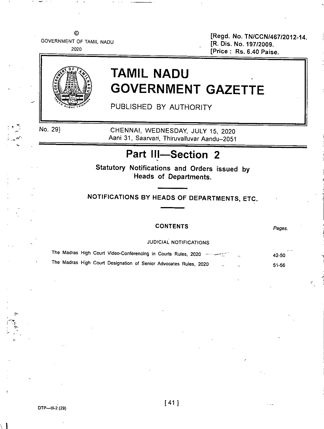$\odot$ GOVERNMENT OF TAMIL NADU

2020

[Regd. No. TN/CCN/467/2012-14. [R. Dis. No. 197/2009. [Price: Rs. 6.40 Paise.



# **TAMIL NADU GOVERNMENT GAZETTE**

PUBLISHED BY AUTHORITY

No. 29)

CHENNAI, WEDNESDAY, JULY 15, 2020 Aani 31, Saarvari, Thiruvalluvar Aandu-2051

## **Part III-Section 2**

Statutory Notifications and Orders issued by Heads of Departments.

NOTIFICATIONS BY HEADS OF DEPARTMENTS, ETC.

### CONTENTS

*Pages.*

"

JUDICIAL NOTIFICATIONS

|  |  | The Madras High Court Video-Conferencing in Courts Rules, 2020 - - - - - - - - | 42-50 |
|--|--|--------------------------------------------------------------------------------|-------|
|  |  | The Madras High Court Designation of Senior Advocates Rules, 2020              | 51-56 |

 $- \times$  . t <sup>&</sup>lt; <sup>~</sup> **x**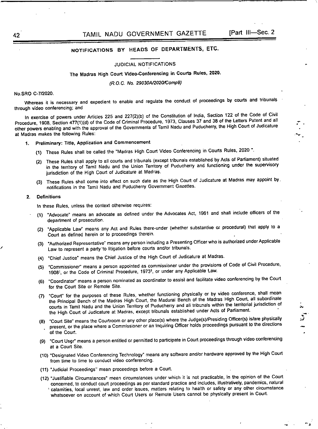~ "  $\frac{1}{2}$ .

> .•..  $\ddot{\cdot}$

> > -.

## NOTIFICATIONS BY HEADS OF DEPARTMENTS, ETC.

#### JUDICIAL NOTIFICATIONS

## The Madras High Court Video-Conferencing in Courts Rules. 2020.

*(R.O.C. No. 29030Al202O/Comp9)*

#### NO.SRO C-712020.

'M1ereas it is necessary and expedient to enable and regulate the conduct of proceedings by courts and tribunals through video conferencing; and

In exercise of powers under Articles 225 and 227(2)(b) of the Constitution of India, Section 122 of the Code of Civil Procedure, 1908, Section 477(1)(d) of the Code of Criminal Procedure, 1973, Clauses 37 and 38 of the Letters Patent and all other powers enabling and with the approval of the Governments of Tamil Nadu and Puducherry, the High Court of Judicature at Madras makes the following Rules:

- 1. Preliminary: Title, Application and Commencement
	- (1) These Rules shall be called the "Madras High Court Video Conferencing in Courts Rules, 2020 ".
	- (2) These Rules shall apply to ail courts and tribunals (except tribunals established by Acts of Parliament) situated in the territory of Tamil Nadu and the Union Territory of Puducherry and functioning under the supervisory jurisdiction of the High Court of Judicature at Madras.
	- (3) These Rules shail come into effect on such date as the High Court of Judicature at Madras may appoint by. notifications in the Tamil Nadu and Puducherry Government Gazettes.

#### 2. Definitions

/

In these Rules, unless the context otherwise requires:

- (1) "Advocate" means an advocate as defined under the Advocates Act, 1961 and shall include officers of the department of prosecution.
- (2) "Applicable Law" means any Act and Rules there-under (whether substantive or procedural) that apply to a Court as defined herein or to proceedings therein.
- (3) "Authorized Representative" means any person including a Presenting Officer who is authorized underApplicable Law to represent a party to litigation before courts and/or tribunals.
- (4) "Chief Justice' means the Chief Justice of the High Court of Judicature at Madras.
- (5) "Commissioner" means a person appointed as commissioner under the provisions of Code of Civil Procedure, 1908'. or the Code of Criminal Procedure, 1973', or under any Applicable Law.
- (6) "Coordinator" means a person nominated as coordinator to assist and facilitate video conferencing by the Court for the Court Site or Remote Site.
- (7) "Court" for the purposes of these Rules, whether functioning physically or by video conference, shall mean the Principal Bench of the Madras Hi9h Court, the Madurai Bench of the Madras High Court, all subordinate courts in Tamil Nadu and the Union Territory of Puducherry and all tribunals within the territorial jurisdiction of the High Court of Judicature at Madras, except tribunals established under Acts of Parliament. .
- (8) "Court Site" means the Courtroom or any other place(s) where the Judge(s)/Presiding Officer(s) is/are physically present, or the place where a Commissioner or an Inquiring Officer holds proceedings pursuant to the directions of the Court.
- (9) "Court User" means a person entitled or permitted to participate in Court proceedings through video conferencing at a Court Site.
- (10) "Designated Video Conferencing Technology" means any sofiware and/or hardware approved by the High Court **from .time to time to conduct video conferencing.**
- (11) "Judicial Proceedings" mean proceedings before a Court.
- (12) "Justifiable Circumstances" mean circumstances under which it is not practicable, in line opinion of the Court concerned, to conduct court proceedings as per standard practice and includes, illustratively, pandemics, natural , calamities, local unrest, law and order issues, matters relating to health or safety or any other circumstance whatsoever on account of which Court Users or Remote Users cannot be physically present in Court.

42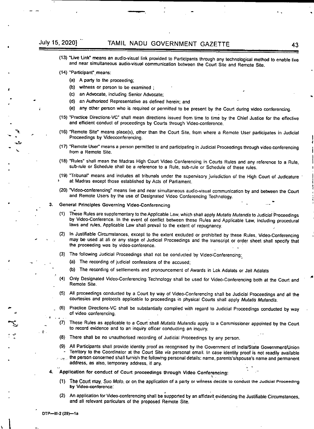## July 15, 2020] TAMIL NADU GOVERNMENT GAZETTE 43

- (13) "Live Link" means an audio-visual link provided to Participants through any technological method to enable live and near simultaneous audio-visual communication between the Court Site and Remote Stte.
- (14) "Participant". means:
	- (a) A party to the proceeding;
	- (b) witness or person to be examined ;
	- (c) an Advocate, including Senior Advocate;
	- *(d)* an Authorized Representative as defined herein; and
	- (e) any other person who is required or permitted to be present by the Court during video conferencing.
- (15) "Practice Directions-VC" shall mean directions issued from time to lime by the Chief Justice for the effective and efficient conduct of proceedings by Courts through Video-conference.
- (16) "Remote Site" means place(s), other than the Court Site, from where a Remote User participates in Judicial Proceedings by Videoconferencing.
- (17) "Remote User" means a person permitted to and participating in Judicial Proceedings through video conferencing from a Remote Site.
- (18) "Rules" shall mean the Madras High Court Video Conferencing in Courts Rules and any reference to a Rule, sub-rule or Schedule shall be a reference to a Rule, sub-rule or Schedule of these rules.
- (19) "Tribunal" means and includes all tribunals under the supervisory jurisdiction of the High Court of Judicature at Madras except those established by Acts of Parliament.
- (20) "Video-conferencing" means live and near simultaneous audio-visual communication by and between the Court and Remote Users by the use of Designated *Video* Conferencing Technology.
- 3. General Principles Governing Video-Conferencing
	- These Rules are supplementary to the Applicable Law,which shall apply *Mutalis Mutandis* to Judiciai Proceedings by Video-Conference. In the event of conflict between these Rules and Applicable Law, including procedural laws and rules, Applicable Law shall prevail to the extent of repugnancy.
	- In Justifiable Circumstances, except to the extent excluded or prohibited by these Rules, Video-Conferencing  $(2)$ may be used at all or any stage of Judicial Proceedings and the transcript or order sheet shall specify that the proceeding was by video-conference. .
	- The following Judicial Proceedings shall not be conducted by Video'Conferencing:.
		- The recording of judicial confessions of the accused;
		- (b) The recording of settlements and pronouncement of Awards in Lok Adalats or Jail Adalats
	- Only Designated Video-Conferencing Technology shall be used for Video-Conferencing both at the Court and  $(4)$ Remote Site.
	- All proceedings conducted by a Court by way of Video-Conferencing shall be Judicial Proceedings and all the courtesies and protocols applicable to proceedings in physical Courts shall apply Mutatis Mutandis.
	- $(6)$ Practice Directions-VC shall be substantially complied with regard to Judicial Proceedings conducted by way of video conferencing.
	- These Rules as applicable to a Court shall *Mutatis Mutandis* apply to a Commissioner appointed by the Court to record evidence and to an inquiry officer conducting an inquiry.
	- $(8)$ There shall be no unauthorised recording of Judicial Proceedings by any person.
	- All Participants shall provide identity proof as recognised by the Government of India/State GovernmenVUnion  $(9)$ Territory to the Coordinator at the Court Site *via* personal email. In Case identity proof is not readily available the person concerned shall furnish the following personal details; name, parents'slspouse's name and permanent address, as also, temporary address, if any. . - ,..
- 4. Application for conduct of Court proceedings through Video Conferencing: ,
	- (1) The Court may, *Suo Moto.* or on the application of a party or witness decide to conduct the Judicial Proceedina by Video-conference:
	- (2) An application for Video-conferencing shall be supported by an affidavit evidencing the Justifiable Circumstances, and all relevant particulars of the proposed Remote Site.

 $\mathbf{G}$ 

\

 $\mathbf i$ 

~ -

~

"-

"

,

"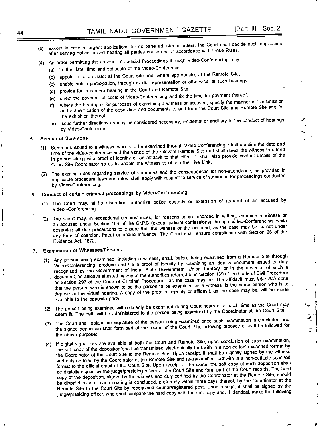\

"-

•

~

7:

,

I ~I

- (3) Except in case of urgent applications for ex parte ad interim orders, the Court shall decide such application after serving notice to and hearing all parties concerned in accordance with these Rules.
- (4) An order permitting the conduct of Judicial Proceedings through Video-Conferencing may:
	- (a) fix the date, time and scheduie of the Video-Conference;
	- (b) appoint a co-ordinator at the Court Site and, where appropriate, at the Remote Site;
	- (c) enable public participation, through media representation or otherwise, at such hearings;
	- (d) provide for in-camera hearing at the Court and Remote Site;
	- (e) direct the payment of costs of Video-Conferencing and fix the time for payment thereof;
	- where the hearing is for purposes of examining a witness or accused, specify the manner of transmission and authentication of the deposition and documents to and from the Court Site and Remote Site and for the exhibition thereof;
	- (g) issue further directions as may be considered necessary, incidental or ancillary to the conduct of hearings by Video-Conference.

#### **S. Service of Summons**

- (1) Summons issued to a witness, who is to be examined through Video-Conferencing, shall mention the date and time of the video-conference and the venue of the relevant Remote Site and shall direct the witness to attend in person along with proof of identity or an affidavit to that effect. It shall also provide contact details of the Court Site Coordinator so as to enable the witness to obtain the Live Link.
- (2) The existing rules regarding service of summons and the consequences for non-attendance, as provided in applicable procedural laws and rules, shall apply with respect to service of summons for proceedings conducted, by Video-Conferencing.
- 6. Conduct of certain criminal proceedings by Video-Conferencing
	- (1) The Court may, at its discretion, authorize police custody or extension of remand of an accused by Video -Conferencing.
	- (2) The Court may, in exceptional circumstances, for reasons to be recorded in writing, examine a witness or an accused under Section 164 of the Cr.P.C (except judicial confessions) through Video-Conferencing, while observing all due precautions to ensure that the witness or the accused, as the case may be, is not under any form of coercion, threat or undue influence. The Court shall ensure compliance with Section 26 of the Evidence Act, 1872.
- 7. Examination of Witnesses/Persons
	- (1) Any person being examined, including a witness, shall, before being examined from a Remote Site through Video-Conferencing', produce and file a proof of identity by submitting an identity document issued or duly recognized by the Government of India, State Government, Union Territory, or in the absence of such a .' document, an affidavit attested by any of the authorities referred to in Section 139 of the Code of Civil Procedure or Section 297 of the Code of Criminal Procedure , as the case may be. The affidavit must *Inter Alia* state that the person, who is shown to be the person to be examined as a witness, is the same person who is to  $\omega$  depose at the virtual hearing. A copy of the proof of identity or affidavit, as the case may be, will be made available to the opposite party.
	- (2) The person being examined will ordinarily be examined during Court hours or at such time as the Court high<br>Learning of the Court Site. deem fit. The oath will be administered to the person being examined by the Coordinator at the Court Site.
	- (3) The Court shall obtain the signature of the person being examined once such examination is concluded and the signed deposition shall form part of the record of the Court. The following procedure shall be followed for the above purpose:
	- (4) If digital signatures are available at both the Court and Remote Site, upon conclusion of such examination, the soft copy of the deposition'shall be transmitted electronically forthwith in a non-editable scanned format by the Coordinator at the Court Site to the Remote Site. Upon receipt, it shall be digitally signed by the witness and duly certified by the Coordinator at the Remote Site and re-transmitted forthwith in a non-editable scanned format to the official email of the Court Site. Upon receipt of the same, the soft copy of such deposition shall be digitally signed by the judge/presiding officer at the Court Site and form part of the Court records. The hard copy of the deposition, signed by the witness and duly certified by the Coordinator at the Remote Site, should be dispatched after each hearing is concluded, preferably within three days thereof, by the Coordinator at the Remote Site to the Court Site by recognised courier/registered post. Upon receipt, it shall be signed by the judge/presiding officer, who shall compare the hard copy with the soft copy and, if identical, make the following

•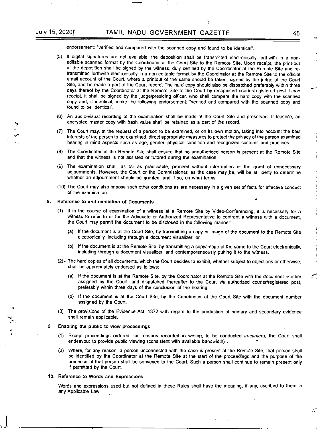endorsement: "verified and compared with the scanned copy and found to be identical".

(5) If digital signatures are not available, the deposition shall be transmitted electronically forthwith in a noneditable scanned format by the Coordinator at the Court Site to the Remote Site. Upon receipt, the print-out of the deposition shall be signed by the witness, duly certified by the Coordinator at the Remote Site and retransmitted forthwith electronically in a non-editable format by the Coordinator at the Remote Site to the official email account of the Court, where a printout of the same should be taken, signed by the judge at the Court Site, and be made a part of the Court record. The hard copy should also be dispatched preferably within three days thereof by the Coordinator at the Remote Site to the Court by recognised courier/registered post. Upon receipt, it shall be signed by the judge/presiding officer, who shall compare the hard copy with the scanned copy and, if identical, make the following endorsement: 'verified and compared with the scanned copy and found to be identical".

Ŷ,

- (6) An audio-visual recording of the examination shall be made at the Court Site and preserved. If feasible, an encrypted master copy with hash value shall be retained as a part of the record.
- (7) The Court may, at the request of a person to be examined, or on its own motion, taking into account the best interests of the person to be examined, direct appropriate measures to protect the privacy of the person examined bearing in mind aspects such as age, gender, physical condition and recognized customs and practices.
- (8) The Coordinator at the Remote Site shall ensure that no unauthorized person is present at the Remote Site **and that the witness is not assisted or tutored during the examination.**
- (9) The examination shall, as far as practicable, proceed without interruption or the grant of unnecessary adjoumments. However, the Court or the Commissioner, as the case may.be, will be at liberty to determine whether an adjournment should be granted, and if so, on what terms.
- (10) The Court may also impose such other conditions as are necessary in a given set of facts for effective conduct of the examination.

#### 8. Reference to and exhibition of Documents

- (1) If in the course of examination of a witness at a Remote Site by Video-Conferencing, it is necessary for a witness to refer to or for the Advocate or Authorized Representative to confront a witness with a document, the Court may permit the document to be disclosed in the following' manner:
	- (a) If the document is at the Court Site, by transmilling a copy or image of the document to the Remote Site electronically, including through a document visualizer; or
	- (b) If the document is at the Remote Site, by transmitting a copy/image of the same to the Court electronically. including through a document visualizer, and contemporaneously pulling it to the witness.
- (2). The hard copies of all documents, which the Court decides to exhibit, whether subject to objections or otherwise, shall be appropriately endorsed as follows:
	- (a) If the document is at the Remote Site, by the Coordinator at the Remote Site with the document number assigned by the Court, and dispatched thereafter to the Court *via* authorized courier/registered post, preferably within three days of the conclusion of the hearing.
	- (b) If the document is at the Court Site, by the Coordinator at the Court Site with the document number assigned by the Court.
- (3) The provisions of the Evidence Act, 1872 with regard to the production of primary and secondary evidence shall remain applicable.
- 9. Enabling the public to view proceedings

:~

- (1) Except proceedings ordered, for reasons recorded in writing, to be conducted *in-camera,* the Court shall endeavour to provide public viewing (consistent with available bandwidth) .
- (2) Where, for any reason, a person unconnected with the case is present at the Remote Site, that person shall be'identified by the Coordinator at the Remote Site at the start of the proceedings and the purpose of the presence of that person shall be conveyed to the Court. Such a person shall continue to remain present only if permitted by the Court.
- 10. Reference to Words **and** Expressions

Words and expressions used but not defined in these Rules shall have the meaning, if any, ascribed to them in any Applicable Law.  $\ddot{\phantom{a}}$ 

 $J_{\star}$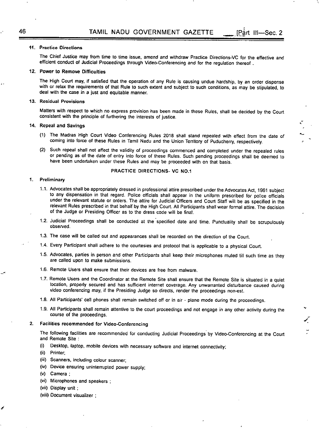#### **11. Practico Directions**

The Chief Justice may from time to time issue, amend and withdraw Practice Directions-VC for the effective and efficient conduct of Judicial Proceedings through Video-Conferencing and for the regulation thereof .

IPart III-Sec. 2

" .<br>-

~

*.I':*

#### 12. Power to Remove Difficulties

The High Court may, if satisfied that the operation of any Rule is causing undue hardship, by an order dispense with or relax the requirements of that Rule to such extent and subject to such conditions, as may be stipulated, to deal with the case in a just and equitable manner.

#### **13. Residual Provisions**

Matters with respect to which no express provision has been made in these Rules, shall be decided by the Court consistent with the principle of furthering the interests of justice.

#### 14. Repeal and Savings

- (1) The Madras High Court Video Conferencing Rules 2018 shall stand repealed with effect from the date of coming into force of these Rules in Tamil Nadu and the Union Territory of Puducherry. respectively.
- (2) Such repeal shall not affect the validity of proceedings commenced and completed under the repealed rules or pending as of the date of entry into force of these Rules. Such pending proceedings shall be deemed to have been undertaken under these Rules and may be proceeded with on that basis.

#### PRACTICE DIRECTIONS- VC NO.1

#### **1. Preliminary**

- 1.1. Advocates shall be appropriately dressed in professional attire prescribed under the Advocates Act, 1961 subject to any dispensation in that regard. Police officials shall appear in the uniform prescribed for police officials under the relevant statute or orders. The attire for Judicial Officers and Court Staff will be as specified in the relevant Rules prescribed in that behalf by the High Court. All Participants shall wear formal attire. The decision of the Judge or Presiding Officer as to the dress code will be final.
- 1.2. Judicial Proceedings shall be conducted at the specified date and time. Punctuality shall be scrupulously observed.
- 1.3. The case will be called out and appearances shall be recorded on the direction of the Court.
- 1.4. Every Participant shall adhere to the courtesies and protocol that is applicable to a physical Court.
- 1.5. Advocates, parties in person and other Participants shall keep their microphones muted till such time as they are called upon to make submissions.
- 1.6. Remote Users shall ensure that their devices are free from malware.
- 1.7. Remote Users and the Coordinator at the Remote Site shall ensure that the Remote Site is situated in a quiet location, properly secured and has sufficient internet coverage. Any unwarranted disturbance caused during video conferencing may. if the Presiding Judge so directs, render the proceedings non-est.
- 1.8. All Participants' cell phones shall remain switched off or in air plane mode during the proceedings.
- 1.9. All Participants shall remain attentive to the court proceedings and not engage in any other activity during the course of the proceedings.

#### 2. Facilities recommended for Video-Conferencing

The following facilities are recommended for conducting Judicial Proceedings by Video-Conferencing at the Court and Remote Site :

- (i) Desktop, laptop, mobile devices with necessary software and internet connectivity;
- (ii) Printer;
- **(iii) Scanners, including colour scanner;**
- (iv) Device ensuring uninterrupted power supply;
- (v) Camera;
- (vi) Microphones and speakers ;
- (vii) Display unit;
- (viii) Document visualizer;

,.

-~

"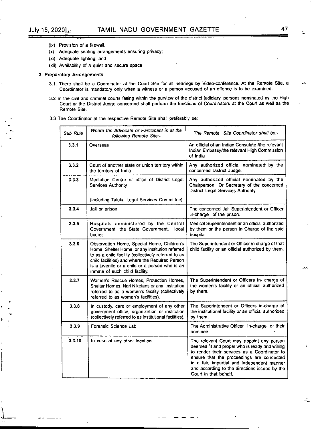~..

•

.~.::

 $\frac{1}{2}$ 

"'-'-

- (ix) Provision of a firewall;
- (x) Adequate seating arrangements ensuring privacy;
- (xi) Adequate lighting; and
- (xii) Availability of a quiet and secure space

#### 3. Preparatory Arrangements

- 3.1. There shall be a Coordinator at the Court Site for all hearings by Video-conference. At the Remote Site, a Coordinator is mandatory only when a witness or a person accused of an offence is to be examined.
- 3.2 In the civil and criminal courts falling within the purview of the district judiciary, persons nominated by the High Court or the District Judge concerned shall perform the functions of Coordinators at the Court as well as the Remote Site.
- 3.3 The Coordinator at the respective Remote Site shall preferably be:

| Sub Rule | Where the Advocate or Participant is at the<br>following Remote Site:-                                                                                                                                                                                                                      | The Remote Site Coordinator shall be:-                                                                                                                                                                                                                                                                            |  |  |
|----------|---------------------------------------------------------------------------------------------------------------------------------------------------------------------------------------------------------------------------------------------------------------------------------------------|-------------------------------------------------------------------------------------------------------------------------------------------------------------------------------------------------------------------------------------------------------------------------------------------------------------------|--|--|
| 3.3.1    | Overseas                                                                                                                                                                                                                                                                                    | An official of an Indian Consulate /the relevant<br>Indian Embassy/the relevant High Commission<br>of India                                                                                                                                                                                                       |  |  |
| 3.3.2    | Court of another state or union territory within<br>the territory of India                                                                                                                                                                                                                  | Any authorized official nominated by the<br>concerned District Judge.                                                                                                                                                                                                                                             |  |  |
| 3.3.3    | Mediation Centre or office of District Legal<br>Services Authority                                                                                                                                                                                                                          | Any authorized official nominated by the<br>Chairperson Or Secretary of the concerned<br>District Legal Services Authority.                                                                                                                                                                                       |  |  |
|          | (including Taluka Legal Services Committee)                                                                                                                                                                                                                                                 |                                                                                                                                                                                                                                                                                                                   |  |  |
| 3.3.4    | Jail or prison                                                                                                                                                                                                                                                                              | The concerned Jail Superintendent or Officer<br>in-charge of the prison.                                                                                                                                                                                                                                          |  |  |
| 3.3.5    | Hospitals administered by the Central<br>Government, the State Government,<br>local<br>bodies                                                                                                                                                                                               | Medical Superintendent or an official authorized<br>by them or the person in Charge of the said<br>hospital                                                                                                                                                                                                       |  |  |
| 3.3.6    | Observation Home, Special Home, Children's<br>Home, Shelter Home, or any institution referred<br>to as a child facility (collectively referred to as<br>child facilities) and where the Required Person<br>is a juvenile or a child or a person who is an<br>inmate of such child facility. | The Superintendent or Officer in charge of that<br>child facility or an official authorized by them.                                                                                                                                                                                                              |  |  |
| 3.3.7    | Women's Rescue Homes, Protection Homes,<br>Shelter Homes, Nari Niketans or any institution<br>referred to as a women's facility (collectively<br>referred to as women's facilities).                                                                                                        | The Superintendent or Officers In- charge of<br>the women's facility or an official authorized<br>by them.                                                                                                                                                                                                        |  |  |
| 3.3.8    | In custody, care or employment of any other<br>government office, organization or institution<br>(collectively referred to as institutional facilities).                                                                                                                                    | The Superintendent or Officers in-charge of<br>the institutional facility or an official authorized<br>by them.                                                                                                                                                                                                   |  |  |
| 3.3.9    | Forensic Science Lab                                                                                                                                                                                                                                                                        | The Administrative Officer In-charge or their<br>nominee.                                                                                                                                                                                                                                                         |  |  |
| 3.3.10   | In case of any other location                                                                                                                                                                                                                                                               | The relevant Court may appoint any person<br>deemed fit and proper who is ready and willing<br>to render their services as a Coordinator to<br>ensure that the proceedings are conducted<br>in a fair, impartial and independent manner<br>and according to the directions issued by the<br>Court in that behalf. |  |  |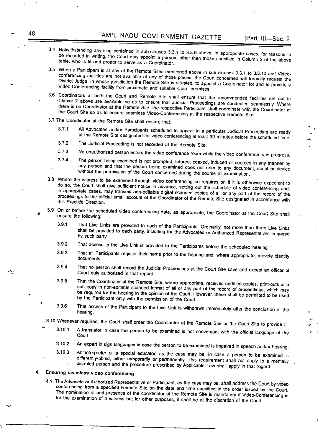- 3.4 Notwithstanding anything contained in sub-clauses 3.3.1 to 3.3.9 above, in appropriate cases, for reasons to be recorded in writing, the Court may appoint a person, other than those specified in Column 2 of the above table, who is fit and proper to serve as a Coordinator.
- 3.5 When a Participant is at any of the Remote Sites mentioned above in sub-clauses 3.3.1 to 3.3.10 and Videoconferencing facilities are not available at any of these places, the Court concerned will formally request the District Judge, in whose jurisdiction the Remote Site is situated, to appoint a Coordinator for and to provide a Video-Conferencing facility from proximate and suitable Court premises.
- 3.6 Coordinators at both the Court and Remote Site shall ensure that the recommended facilities set out in .Clause 2 above are available so as to ensure that Judicial Proceedings are conducted seamlessly. Where there is no Coordinator at the Remote Site, the respective Participant shall coordinate with the Coordinator at the Court Site so as to ensure seamless Video-Conferencing at the respective Remote Site.
- 3.7 The Coordinator at the Remote Site shall ensure that:
	- 3.7.1 All Advocates and/or Participants scheduled to appear in a particular Judicial Proceeding are ready at the Remote Site designated for video conferencing at least 30 minutes before the scheduled time.
	- 3.7.2 The Judicial Proceeding is not recorded at the Remote Site.
	- **3.7.3 No unauthorised person enters the video conference room while the video conference is in progress.**
	- 3.7.4 The person being examined is not prompted, tutored, coaxed, induced or coerced in any manner by any person and that the person being examined does not refer to any document, script or device without the permission of the Court concemed during the course of examination.
- *3.B* Where the witness to be examined through video conferencing so requires or, if it is otherwise expedient to do so, the Court shall give sufficient notice in advance, setting out the schedule of video conferencing and, in appropriate cases, may transmit non-editable digital scanned copies of all or any part of the record of the proceedings to the official email account of the Coordinator of the Remote Site designated in accordance with this Practice Direction.
- 3.9 On or before the scheduled video conferencing date, as appropriate, the Coordinator at the Court Site shall ensure the following:
	- 3.9.1 That Live Links are provided to each of the Participants. Ordinarily, not more than three Live Links shall be provided to each party, including for the Advocates or Authorized Representatives engaged by such party.
	- 3.9.2 That access to the Live Link is provided to the Participants before the scheduled hearing..
	- 3.9.3 That all Participants register their name prior to the hearing and, where appropriate, provide identity documents.
	- 3.9.4 That no person shall record the Judicial Proceedings at the Court Site save and except an officer of Court duly authorized in that regard.
	- 3.9.5 That the Coordinator at the Remote Site, where appropriate, receives certified copies, print-outs or a soft copy in non-editable scanned format of all or any part of the record of proceedings, which may be required for the hearing in the opinion of the Court. However, these shall be permitted to be used by the Participant only with the permission of the Court.
	- 3.9.6 That access of the Participant to the Live Link is withdrawn immediately after the conclusion of the hearing.

3.10 Whenever required, the Court shall order the Coordinator at the Remote Site or the Court Site to provide : ~

- 3.10.1 A translator in case the person to be examined is not conversant with the official language of the Court.
- 3.10.2 An expert in sign languages in case the person to be examined is impaired in speech and/or hearing.
- 3.10.3 An "interpreter or a special educator, as the case may be, in case a person to be examined is differently-abled, either temporarily or permanently. This requirement shall not apply to a mentally disabled person and the procedure prescribed by Applicable law shall apply in that regard.

#### **4. Ensuring seamless video conferencing**

\

4.1. The Advocate or Authorized Representative or Participant, as the case may be, shall address the Court by video conferencing from a specified Remote Site on the date and time specified in the order issued by the Court. The nomination of and presence of the coordinator at the Remote Site is mandatory if Video-Conferencing is for the examination of a witness but for other purposes, it shall be at the discretion of the Court.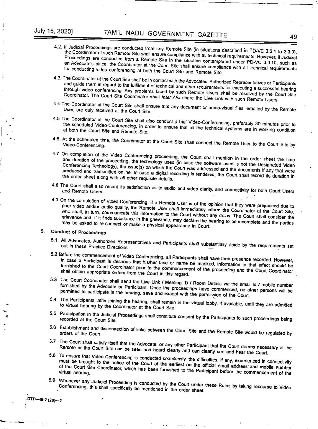- 4.2. If Judicial Proceedings are conducted from any Remote Site (in situations described in PD-VC 3.3.1 to 3.3.9), the Coordinator at such Remote Site shall ensure compliance with all technical requirements. However, if Judicial Proceedings are conducted from a Remote Site in the situation contemplated under PD-VC 3.3.10, such as an Advocate's office, the Coordinator at the Court Site shall ensure compliance with all technical requirements for conducting video conferencing at both the Court Site and Remote Site.
- 4.3. The Coordinator at the Court Site shall be in contact with the Advocates, Authorized Representatives or Participants and guide them in regard to the fulfilment of technical and other requirements for executing a successful hearing through video conferencing. Any problems faced by such Remote Users shall be resolved by the Court Site Coordinator. The Court Site Coordinator shall *Inter* Alia share the Live Link with such Remote Users.
- 4.4 The Coordinator at the Court Site shall ensure that any document or audio-visual files, emailed by the Remote User, are duly received at the Court Site.
- 4.5 The Coordinator at the Court Site shall also conduct a trial Video-Conferencing, preferably 30 minutes prior to the scheduled Video-Conferencing, in order to ensure that all the technical systems are in working condition at both the Court Site and Remote Site.
- 4.6. At the scheduled time, the Coordinator at the Court Site shall connect the Remote User to the Court Site by
- 4.7 On completion of the Video Conferencing proceeding, the Court shall mention in the order sheet the time and duration of the proceeding, the technology used (in case the software used is not the Designated Video Conferencing Technology), the issue(s) on which the Court was addressed and the documents if any that were produced and transmitted online. In case a digital recording is tendered, the Court shall record its duration in the order sheet along with all other requisite details.
- 4.8 The Court shall also record its satisfaction as to audio and video clarity, and connectivity for both Court Users.
- 4.9 On the completion of Video-Conferencing, if a Remote User is of the opinion that they were prejudiced due to poor video and/or audio quality, the Remote User shall immediately inform the Coordinator at the Court Site, who shall, in turn, communicate this information to the Court without any delay. The Court shall consider the grievance and, if it finds substance in the grievance, may declare the hearing to be incomplete and the parties may be asked to re-connect or make a physical appearance in Court.

#### 5. Conduct of Proceedings

~ ...,

III-2 (29)

*r*

I

**"""--- -------**

,

- 5.1 All Advocates, Authorized Representatives and Participants shall substantially abide by the requirements set out in these Practice Directions.
- 5.2 Before the commencement of Video Conferencing, all Participants shall have their presence recorded. However, in case a Participant is desirous that his/her face or name be masked, information to that effect should be furnished to the Court Coordinator prior to the commencement of the proceeding and the Court Coordinator shall obtain appropriate orders from the Court in this regard.
- 5.3 The Court Coordinator shall send the Live Link / Meeting 10 / Room Details *via* the email Id / mobile number furnished by the Advocate or Participant. Once the proceedings have commenced, no other persons will be permitted to participate in the hearing, save and except with the permission of the Court.
- 5.4 The Participants, after joining the hearing, shall remain in the virtual lobby, if available, until they are admitted to virtual hearing by the Coordinator at the Court Site.
- 5.5 Participation in the Judicial Proceedings shall constitute consent by the Participants to such proceedings being recorded at the Court Site.
- 5.6 Establishment and disconnection of links between the Court Site and the Remote Site would be regulated by orders of the Court.
- 5.7 The Court shall satisfy itself that the Advocate, or any other Participant that the Court deems necessary at the Remote or the Court Site can be seen and heard clearly and can clearly see and hear the Court.
- 5.8 To ensure that Video Conferencing is conducted seamlessly. the difficulties, if any, experienced in connectivity must be brought to the notice of the Court at the earliest on the official email address and mobile number of the Court Site Coordinator, which has been furnished to the Participant before the commencement of the
- S.g Whenever any Judicial Proceeding is conducted by the Court under these Rules by taking recourse to Video Conferencing, this shall specifically be mentioned in the order sheet.